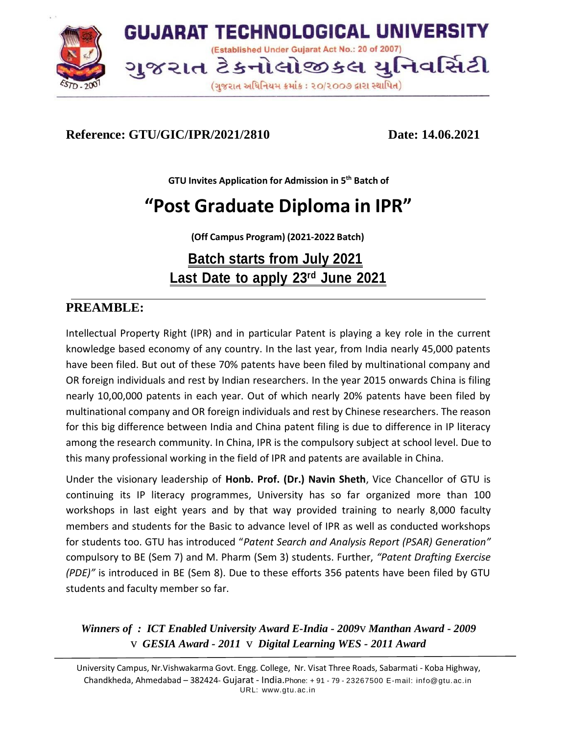

## **Reference: GTU/GIC/IPR/2021/2810 Date: 14.06.2021**

**GTU Invites Application for Admission in 5 th Batch of**

# **"Post Graduate Diploma in IPR"**

**(Off Campus Program) (2021-2022 Batch)**

## **Batch starts from July 2021 Last Date to apply 23rd June 2021**

## **PREAMBLE:**

Intellectual Property Right (IPR) and in particular Patent is playing a key role in the current knowledge based economy of any country. In the last year, from India nearly 45,000 patents have been filed. But out of these 70% patents have been filed by multinational company and OR foreign individuals and rest by Indian researchers. In the year 2015 onwards China is filing nearly 10,00,000 patents in each year. Out of which nearly 20% patents have been filed by multinational company and OR foreign individuals and rest by Chinese researchers. The reason for this big difference between India and China patent filing is due to difference in IP literacy among the research community. In China, IPR is the compulsory subject at school level. Due to this many professional working in the field of IPR and patents are available in China.

Under the visionary leadership of **Honb. Prof. (Dr.) Navin Sheth**, Vice Chancellor of GTU is continuing its IP literacy programmes, University has so far organized more than 100 workshops in last eight years and by that way provided training to nearly 8,000 faculty members and students for the Basic to advance level of IPR as well as conducted workshops for students too. GTU has introduced "*Patent Search and Analysis Report (PSAR) Generation"* compulsory to BE (Sem 7) and M. Pharm (Sem 3) students. Further, *"Patent Drafting Exercise (PDE)"* is introduced in BE (Sem 8). Due to these efforts 356 patents have been filed by GTU students and faculty member so far.

*Winners of : ICT Enabled University Award E-India - 2009*v *Manthan Award - 2009* v *GESIA Award - 2011* v *Digital Learning WES - 2011 Award*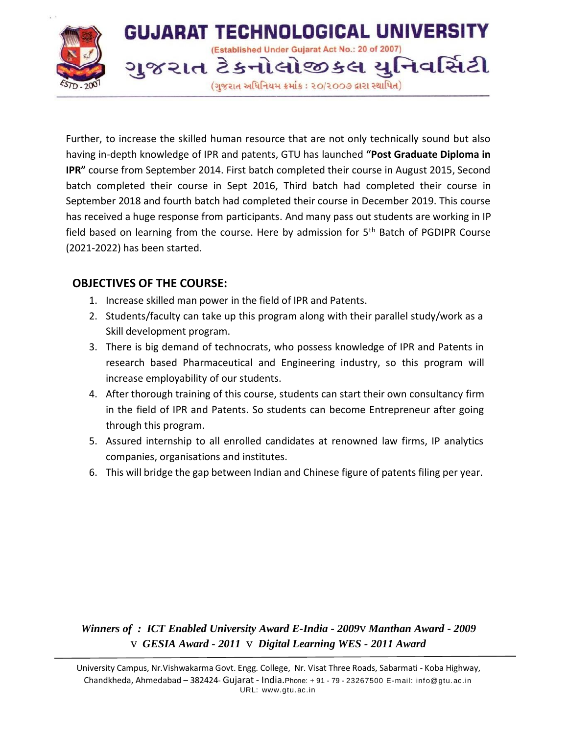

Further, to increase the skilled human resource that are not only technically sound but also having in-depth knowledge of IPR and patents, GTU has launched **"Post Graduate Diploma in IPR"** course from September 2014. First batch completed their course in August 2015, Second batch completed their course in Sept 2016, Third batch had completed their course in September 2018 and fourth batch had completed their course in December 2019. This course has received a huge response from participants. And many pass out students are working in IP field based on learning from the course. Here by admission for 5<sup>th</sup> Batch of PGDIPR Course (2021-2022) has been started.

#### **OBJECTIVES OF THE COURSE:**

- 1. Increase skilled man power in the field of IPR and Patents.
- 2. Students/faculty can take up this program along with their parallel study/work as a Skill development program.
- 3. There is big demand of technocrats, who possess knowledge of IPR and Patents in research based Pharmaceutical and Engineering industry, so this program will increase employability of our students.
- 4. After thorough training of this course, students can start their own consultancy firm in the field of IPR and Patents. So students can become Entrepreneur after going through this program.
- 5. Assured internship to all enrolled candidates at renowned law firms, IP analytics companies, organisations and institutes.
- 6. This will bridge the gap between Indian and Chinese figure of patents filing per year.

*Winners of : ICT Enabled University Award E-India - 2009*v *Manthan Award - 2009* v *GESIA Award - 2011* v *Digital Learning WES - 2011 Award*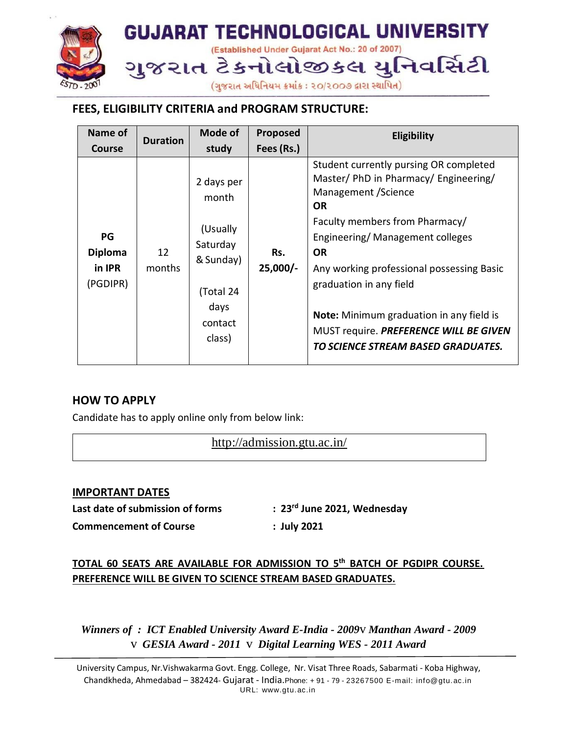

## **FEES, ELIGIBILITY CRITERIA and PROGRAM STRUCTURE:**

| Name of                                    | <b>Duration</b> | Mode of                                                                                            | Proposed          | <b>Eligibility</b>                                                                                                                                                                                                                                                                                                                                                                                                |
|--------------------------------------------|-----------------|----------------------------------------------------------------------------------------------------|-------------------|-------------------------------------------------------------------------------------------------------------------------------------------------------------------------------------------------------------------------------------------------------------------------------------------------------------------------------------------------------------------------------------------------------------------|
| <b>Course</b>                              |                 | study                                                                                              | Fees (Rs.)        |                                                                                                                                                                                                                                                                                                                                                                                                                   |
| PG<br><b>Diploma</b><br>in IPR<br>(PGDIPR) | 12<br>months    | 2 days per<br>month<br>(Usually<br>Saturday<br>& Sunday)<br>(Total 24<br>days<br>contact<br>class) | Rs.<br>$25,000/-$ | Student currently pursing OR completed<br>Master/ PhD in Pharmacy/ Engineering/<br>Management / Science<br><b>OR</b><br>Faculty members from Pharmacy/<br>Engineering/Management colleges<br><b>OR</b><br>Any working professional possessing Basic<br>graduation in any field<br><b>Note:</b> Minimum graduation in any field is<br>MUST require. PREFERENCE WILL BE GIVEN<br>TO SCIENCE STREAM BASED GRADUATES. |

#### **HOW TO APPLY**

Candidate has to apply online only from below link:

<http://admission.gtu.ac.in/>

#### **IMPORTANT DATES**

**Last date of submission of forms : 23rd June 2021, Wednesday**

**Commencement of Course : July 2021**

## **TOTAL 60 SEATS ARE AVAILABLE FOR ADMISSION TO 5 th BATCH OF PGDIPR COURSE. PREFERENCE WILL BE GIVEN TO SCIENCE STREAM BASED GRADUATES.**

*Winners of : ICT Enabled University Award E-India - 2009*v *Manthan Award - 2009* v *GESIA Award - 2011* v *Digital Learning WES - 2011 Award*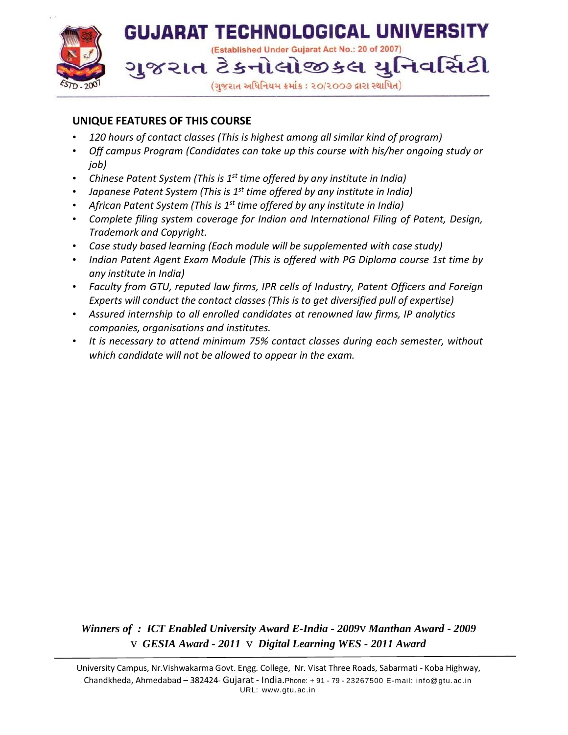

#### **UNIQUE FEATURES OF THIS COURSE**

- *120 hours of contact classes (This is highest among all similar kind of program)*
- *Off campus Program (Candidates can take up this course with his/her ongoing study or job)*
- *Chinese Patent System (This is 1 st time offered by any institute in India)*
- *Japanese Patent System (This is 1 st time offered by any institute in India)*
- *African Patent System (This is 1st time offered by any institute in India)*
- *Complete filing system coverage for Indian and International Filing of Patent, Design, Trademark and Copyright.*
- *Case study based learning (Each module will be supplemented with case study)*
- *Indian Patent Agent Exam Module (This is offered with PG Diploma course 1st time by any institute in India)*
- *Faculty from GTU, reputed law firms, IPR cells of Industry, Patent Officers and Foreign Experts will conduct the contact classes (This is to get diversified pull of expertise)*
- *Assured internship to all enrolled candidates at renowned law firms, IP analytics companies, organisations and institutes.*
- *It is necessary to attend minimum 75% contact classes during each semester, without which candidate will not be allowed to appear in the exam.*

*Winners of : ICT Enabled University Award E-India - 2009*v *Manthan Award - 2009* v *GESIA Award - 2011* v *Digital Learning WES - 2011 Award*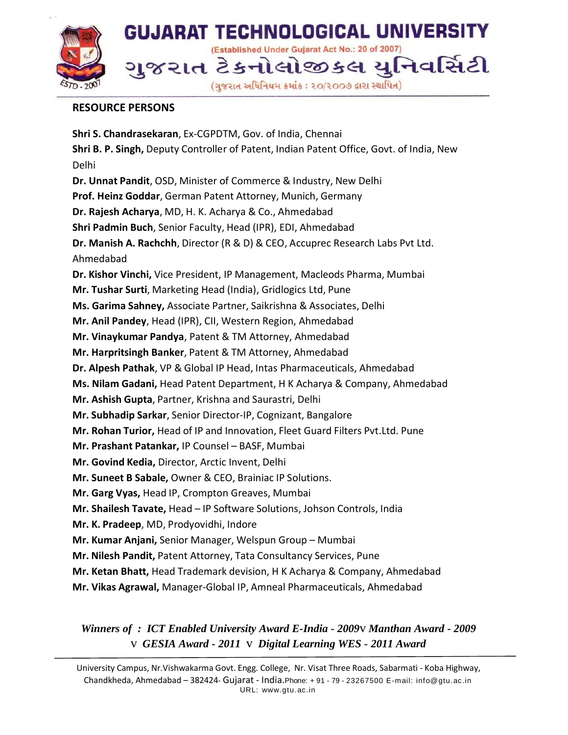

#### **RESOURCE PERSONS**

**Shri S. Chandrasekaran**, Ex-CGPDTM, Gov. of India, Chennai **Shri B. P. Singh,** Deputy Controller of Patent, Indian Patent Office, Govt. of India, New Delhi **Dr. Unnat Pandit**, OSD, Minister of Commerce & Industry, New Delhi **Prof. Heinz Goddar**, German Patent Attorney, Munich, Germany **Dr. Rajesh Acharya**, MD, H. K. Acharya & Co., Ahmedabad **Shri Padmin Buch**, Senior Faculty, Head (IPR), EDI, Ahmedabad **Dr. Manish A. Rachchh**, Director (R & D) & CEO, Accuprec Research Labs Pvt Ltd. Ahmedabad **Dr. Kishor Vinchi,** Vice President, IP Management, Macleods Pharma, Mumbai **Mr. Tushar Surti**, Marketing Head (India), Gridlogics Ltd, Pune **Ms. Garima Sahney,** Associate Partner, Saikrishna & Associates, Delhi **Mr. Anil Pandey**, Head (IPR), CII, Western Region, Ahmedabad **Mr. Vinaykumar Pandya**, Patent & TM Attorney, Ahmedabad **Mr. Harpritsingh Banker**, Patent & TM Attorney, Ahmedabad **Dr. Alpesh Pathak**, VP & Global IP Head, Intas Pharmaceuticals, Ahmedabad **Ms. Nilam Gadani,** Head Patent Department, H K Acharya & Company, Ahmedabad **Mr. Ashish Gupta**, Partner, Krishna and Saurastri, Delhi **Mr. Subhadip Sarkar**, Senior Director-IP, Cognizant, Bangalore **Mr. Rohan Turior,** Head of IP and Innovation, Fleet Guard Filters Pvt.Ltd. Pune **Mr. Prashant Patankar,** IP Counsel – BASF, Mumbai **Mr. Govind Kedia,** Director, Arctic Invent, Delhi **Mr. Suneet B Sabale,** Owner & CEO, Brainiac IP Solutions. **Mr. Garg Vyas,** Head IP, Crompton Greaves, Mumbai **Mr. Shailesh Tavate,** Head – IP Software Solutions, Johson Controls, India **Mr. K. Pradeep**, MD, Prodyovidhi, Indore **Mr. Kumar Anjani,** Senior Manager, Welspun Group – Mumbai **Mr. Nilesh Pandit,** Patent Attorney, Tata Consultancy Services, Pune **Mr. Ketan Bhatt,** Head Trademark devision, H K Acharya & Company, Ahmedabad **Mr. Vikas Agrawal,** Manager-Global IP, Amneal Pharmaceuticals, Ahmedabad

*Winners of : ICT Enabled University Award E-India - 2009*v *Manthan Award - 2009* v *GESIA Award - 2011* v *Digital Learning WES - 2011 Award*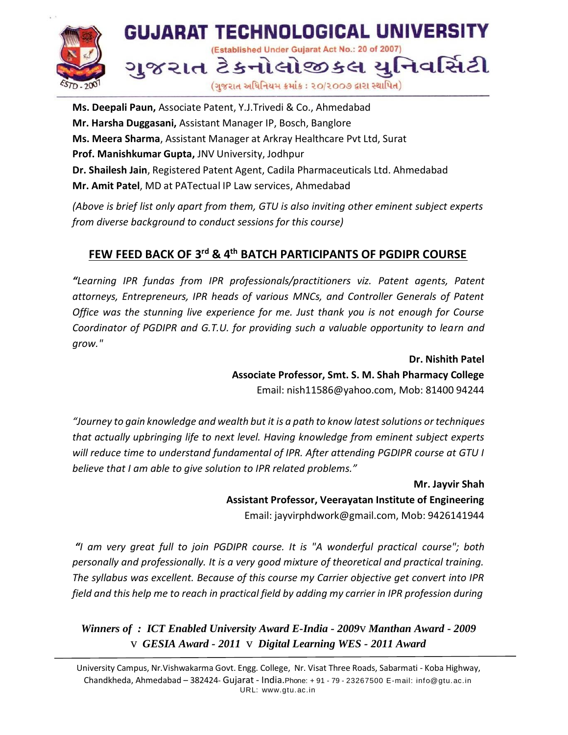

**Ms. Deepali Paun,** Associate Patent, Y.J.Trivedi & Co., Ahmedabad **Mr. Harsha Duggasani,** Assistant Manager IP, Bosch, Banglore **Ms. Meera Sharma**, Assistant Manager at Arkray Healthcare Pvt Ltd, Surat **Prof. Manishkumar Gupta,** JNV University, Jodhpur **Dr. Shailesh Jain**, Registered Patent Agent, Cadila Pharmaceuticals Ltd. Ahmedabad **Mr. Amit Patel**, MD at PATectual IP Law services, Ahmedabad

*(Above is brief list only apart from them, GTU is also inviting other eminent subject experts from diverse background to conduct sessions for this course)*

## **FEW FEED BACK OF 3rd & 4 th BATCH PARTICIPANTS OF PGDIPR COURSE**

*"Learning IPR fundas from IPR professionals/practitioners viz. Patent agents, Patent attorneys, Entrepreneurs, IPR heads of various MNCs, and Controller Generals of Patent Office was the stunning live experience for me. Just thank you is not enough for Course Coordinator of PGDIPR and G.T.U. for providing such a valuable opportunity to learn and grow."*

> **Dr. Nishith Patel Associate Professor, Smt. S. M. Shah Pharmacy College** Email: [nish11586@yahoo.com, M](mailto:nish11586@yahoo.com)ob: 81400 94244

*"Journey to gain knowledge and wealth but it is a path to know latestsolutions or techniques that actually upbringing life to next level. Having knowledge from eminent subject experts will reduce time to understand fundamental of IPR. After attending PGDIPR course at GTU I believe that I am able to give solution to IPR related problems."*

> **Mr. Jayvir Shah Assistant Professor, Veerayatan Institute of Engineering** Email: [jayvirphdwork@gmail.com,](mailto:jayvirphdwork@gmail.com) Mob: 9426141944

*"I am very great full to join PGDIPR course. It is "A wonderful practical course"; both personally and professionally. It is a very good mixture of theoretical and practical training. The syllabus was excellent. Because of this course my Carrier objective get convert into IPR field and this help me to reach in practical field by adding my carrier in IPR profession during*

*Winners of : ICT Enabled University Award E-India - 2009*v *Manthan Award - 2009* v *GESIA Award - 2011* v *Digital Learning WES - 2011 Award*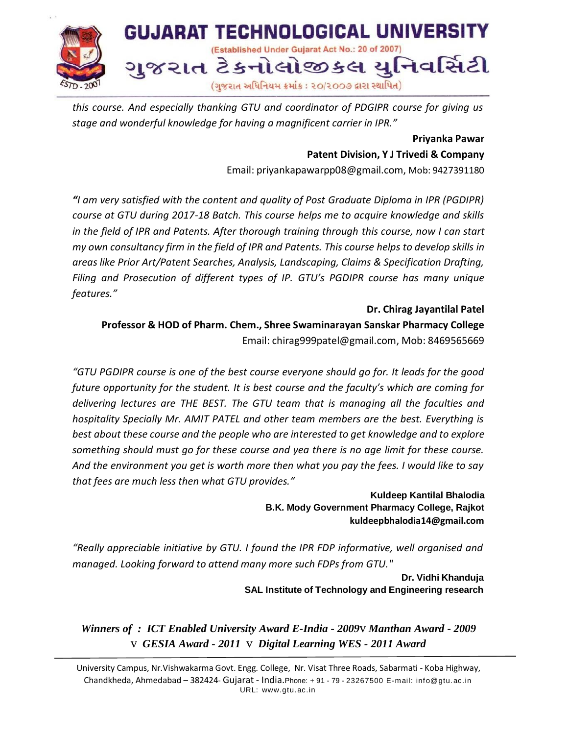

*this course. And especially thanking GTU and coordinator of PDGIPR course for giving us stage and wonderful knowledge for having a magnificent carrier in IPR."*

> **Priyanka Pawar Patent Division, Y J Trivedi & Company**

Email: [priyankapawarpp08@gmail.com,](mailto:priyankapawarpp08@gmail.com) Mob: 9427391180

*"I am very satisfied with the content and quality of Post Graduate Diploma in IPR (PGDIPR) course at GTU during 2017-18 Batch. This course helps me to acquire knowledge and skills in the field of IPR and Patents. After thorough training through this course, now I can start my own consultancy firm in the field of IPR and Patents. This course helps to develop skills in areas like Prior Art/Patent Searches, Analysis, Landscaping, Claims & Specification Drafting, Filing and Prosecution of different types of IP. GTU's PGDIPR course has many unique features."*

**Dr. Chirag Jayantilal Patel Professor & HOD of Pharm. Chem., Shree Swaminarayan Sanskar Pharmacy College** Email: [chirag999patel@gmail.com,](mailto:chirag999patel@gmail.com) Mob: 8469565669

*"GTU PGDIPR course is one of the best course everyone should go for. It leads for the good future opportunity for the student. It is best course and the faculty's which are coming for delivering lectures are THE BEST. The GTU team that is managing all the faculties and hospitality Specially Mr. AMIT PATEL and other team members are the best. Everything is best about these course and the people who are interested to get knowledge and to explore something should must go for these course and yea there is no age limit for these course. And the environment you get is worth more then what you pay the fees. I would like to say that fees are much less then what GTU provides."*

> **Kuldeep Kantilal Bhalodia B.K. Mody Government Pharmacy College, Rajkot [kuldeepbhalodia14@gmail.com](mailto:kuldeepbhalodia14@gmail.com)**

*"Really appreciable initiative by GTU. I found the IPR FDP informative, well organised and managed. Looking forward to attend many more such FDPs from GTU."*

> **Dr. Vidhi Khanduja SAL Institute of Technology and Engineering research**

*Winners of : ICT Enabled University Award E-India - 2009*v *Manthan Award - 2009* v *GESIA Award - 2011* v *Digital Learning WES - 2011 Award*